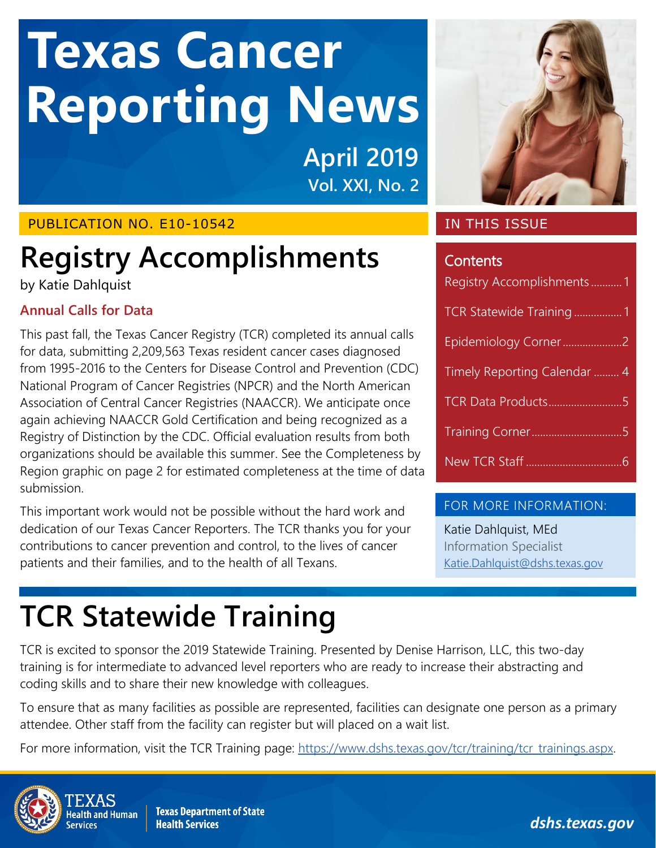# **Reporting News Texas Cancer**

**April 2019 Vol. XXI, No. 2**

# PUBLICATION NO. E10-10542

# <span id="page-0-0"></span>**Registry Accomplishments**

by Katie Dahlquist

# **Annual Calls for Data**

This past fall, the Texas Cancer Registry (TCR) completed its annual calls for data, submitting 2,209,563 Texas resident cancer cases diagnosed from 1995-2016 to the Centers for Disease Control and Prevention (CDC) National Program of Cancer Registries (NPCR) and the North American Association of Central Cancer Registries (NAACCR). We anticipate once again achieving NAACCR Gold Certification and being recognized as a Registry of Distinction by the CDC. Official evaluation results from both organizations should be available this summer. See the Completeness by Region graphic on page 2 for estimated completeness at the time of data submission.

This important work would not be possible without the hard work and dedication of our Texas Cancer Reporters. The TCR thanks you for your contributions to cancer prevention and control, to the lives of cancer patients and their families, and to the health of all Texans.



# IN THIS ISSUE

# **Contents**

| Registry Accomplishments1    |
|------------------------------|
| TCR Statewide Training1      |
| Epidemiology Corner2         |
| Timely Reporting Calendar  4 |
|                              |
|                              |
|                              |
|                              |

# FOR MORE INFORMATION:

Katie Dahlquist, MEd Information Specialist [Katie.Dahlquist@dshs.texas.gov](mailto:Katie.Dahlquist@dshs.texas.gov?subject=TCR%20Newsletter%20-%20Registry%20Accomplishments)

# <span id="page-0-1"></span>**TCR Statewide Training**

TCR is excited to sponsor the 2019 Statewide Training. Presented by Denise Harrison, LLC, this two-day training is for intermediate to advanced level reporters who are ready to increase their abstracting and coding skills and to share their new knowledge with colleagues.

To ensure that as many facilities as possible are represented, facilities can designate one person as a primary attendee. Other staff from the facility can register but will placed on a wait list.

For more information, visit the TCR Training page: [https://www.dshs.texas.gov/tcr/training/tcr\\_trainings.aspx.](https://www.dshs.texas.gov/tcr/training/tcr_trainings.aspx)



**Texas Department of State Health Services** 

*dshs.texas.gov*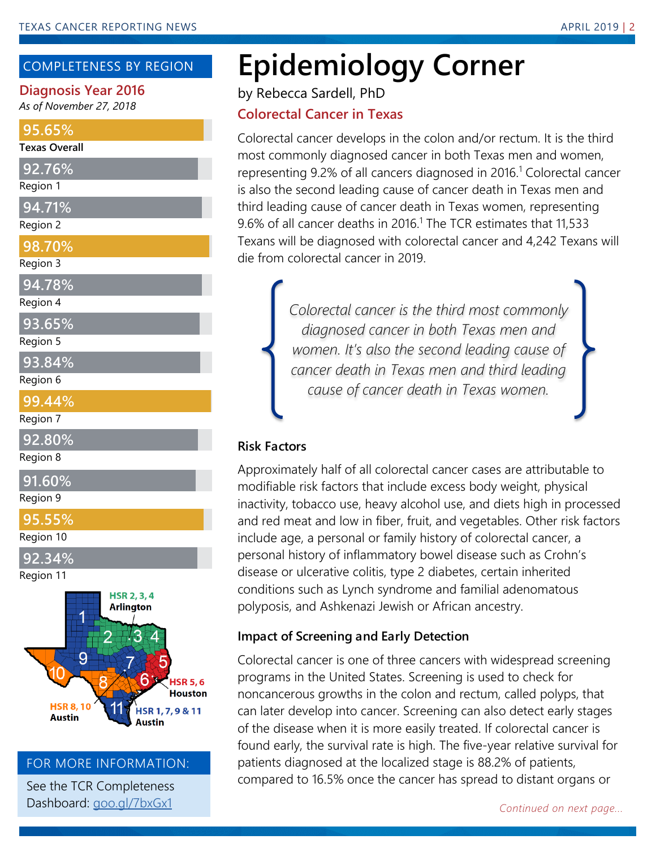# COMPLETENESS BY REGION

# **Diagnosis Year 2016**

*As of November 27, 2018*

#### **95.65%**

#### **Texas Overall**

| Reaion |  |  |
|--------|--|--|

- **94.71%**
- Region 2
- **98.70%**

#### Region 3

# **94.78%**

# Region 4

**93.65%**

Region 5

- **93.84%**
- Region 6
- **99.44%**
- Region 7
- **92.80%**
- Region 8

# **91.60%**

Region 9

**95.55%**

Region 10

**92.34%**

Region 11



#### FOR MORE INFORMATION:

See the TCR Completeness Dashboard: [goo.gl/7bxGx1](https://goo.gl/7bxGx1)

# **Epidemiology Corner**

by Rebecca Sardell, PhD

# **Colorectal Cancer in Texas**

Colorectal cancer develops in the colon and/or rectum. It is the third most commonly diagnosed cancer in both Texas men and women, representing 9.2% of all cancers diagnosed in 2016.<sup>1</sup> Colorectal cancer is also the second leading cause of cancer death in Texas men and third leading cause of cancer death in Texas women, representing 9.6% of all cancer deaths in 2016.<sup>1</sup> The TCR estimates that 11.533 Texans will be diagnosed with colorectal cancer and 4,242 Texans will die from colorectal cancer in 2019.

> *Colorectal cancer is the third most commonly diagnosed cancer in both Texas men and women. It's also the second leading cause of cancer death in Texas men and third leading cause of cancer death in Texas women.*

# **Risk Factors**

Approximately half of all colorectal cancer cases are attributable to modifiable risk factors that include excess body weight, physical inactivity, tobacco use, heavy alcohol use, and diets high in processed and red meat and low in fiber, fruit, and vegetables. Other risk factors include age, a personal or family history of colorectal cancer, a personal history of inflammatory bowel disease such as Crohn's disease or ulcerative colitis, type 2 diabetes, certain inherited conditions such as Lynch syndrome and familial adenomatous polyposis, and Ashkenazi Jewish or African ancestry.

# **Impact of Screening and Early Detection**

Colorectal cancer is one of three cancers with widespread screening programs in the United States. Screening is used to check for noncancerous growths in the colon and rectum, called polyps, that can later develop into cancer. Screening can also detect early stages of the disease when it is more easily treated. If colorectal cancer is found early, the survival rate is high. The five-year relative survival for patients diagnosed at the localized stage is 88.2% of patients, compared to 16.5% once the cancer has spread to distant organs or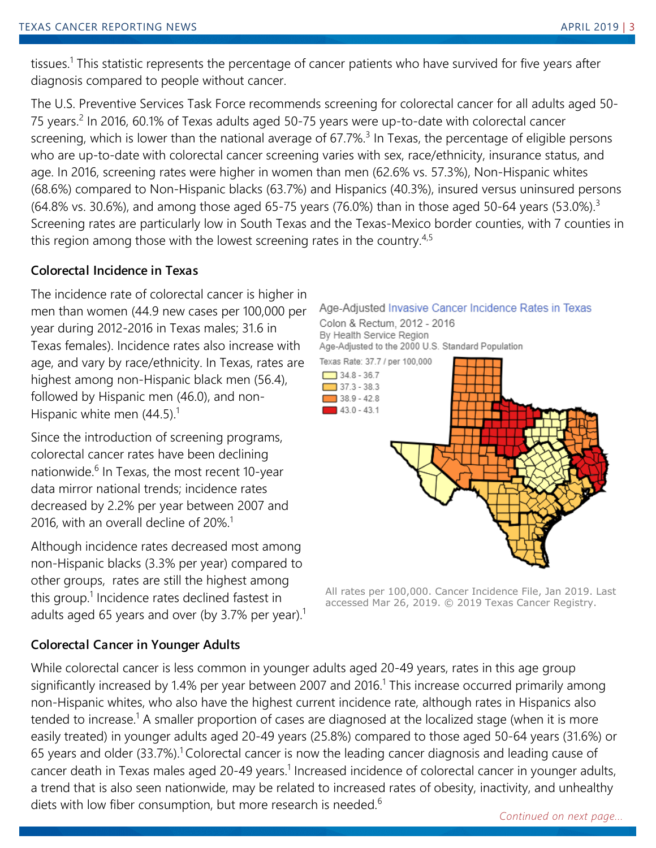tissues.<sup>1</sup> This statistic represents the percentage of cancer patients who have survived for five years after diagnosis compared to people without cancer.

The U.S. Preventive Services Task Force recommends screening for colorectal cancer for all adults aged 50- 75 years.<sup>2</sup> In 2016, 60.1% of Texas adults aged 50-75 years were up-to-date with colorectal cancer screening, which is lower than the national average of 67.7%.<sup>3</sup> In Texas, the percentage of eligible persons who are up-to-date with colorectal cancer screening varies with sex, race/ethnicity, insurance status, and age. In 2016, screening rates were higher in women than men (62.6% vs. 57.3%), Non-Hispanic whites (68.6%) compared to Non-Hispanic blacks (63.7%) and Hispanics (40.3%), insured versus uninsured persons (64.8% vs. 30.6%), and among those aged 65-75 years (76.0%) than in those aged 50-64 years (53.0%).<sup>3</sup> Screening rates are particularly low in South Texas and the Texas-Mexico border counties, with 7 counties in this region among those with the lowest screening rates in the country.<sup>4,5</sup>

# **Colorectal Incidence in Texas**

The incidence rate of colorectal cancer is higher in men than women (44.9 new cases per 100,000 per year during 2012-2016 in Texas males; 31.6 in Texas females). Incidence rates also increase with age, and vary by race/ethnicity. In Texas, rates are highest among non-Hispanic black men (56.4), followed by Hispanic men (46.0), and non-Hispanic white men  $(44.5)$ .<sup>1</sup>

Since the introduction of screening programs, colorectal cancer rates have been declining nationwide.<sup>6</sup> In Texas, the most recent 10-year data mirror national trends; incidence rates decreased by 2.2% per year between 2007 and 2016, with an overall decline of 20%.<sup>1</sup>

Although incidence rates decreased most among non-Hispanic blacks (3.3% per year) compared to other groups, rates are still the highest among this group.<sup>1</sup> Incidence rates declined fastest in adults aged 65 years and over (by 3.7% per year).<sup>1</sup>

# **Colorectal Cancer in Younger Adults**



All rates per 100,000. Cancer Incidence File, Jan 2019. Last accessed Mar 26, 2019. © 2019 Texas Cancer Registry.

While colorectal cancer is less common in younger adults aged 20-49 years, rates in this age group significantly increased by 1.4% per year between 2007 and 2016.<sup>1</sup> This increase occurred primarily among non-Hispanic whites, who also have the highest current incidence rate, although rates in Hispanics also tended to increase.<sup>1</sup> A smaller proportion of cases are diagnosed at the localized stage (when it is more easily treated) in younger adults aged 20-49 years (25.8%) compared to those aged 50-64 years (31.6%) or 65 years and older (33.7%).<sup>1</sup> Colorectal cancer is now the leading cancer diagnosis and leading cause of cancer death in Texas males aged 20-49 years.<sup>1</sup> Increased incidence of colorectal cancer in younger adults, a trend that is also seen nationwide, may be related to increased rates of obesity, inactivity, and unhealthy diets with low fiber consumption, but more research is needed.<sup>6</sup>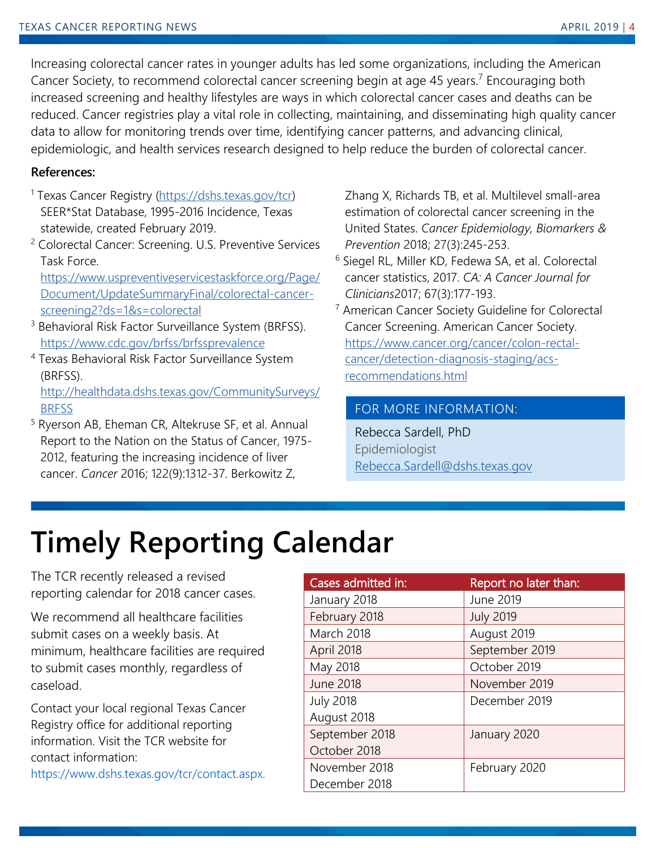Increasing colorectal cancer rates in younger adults has led some organizations, including the American Cancer Society, to recommend colorectal cancer screening begin at age 45 years.<sup>7</sup> Encouraging both increased screening and healthy lifestyles are ways in which colorectal cancer cases and deaths can be reduced. Cancer registries play a vital role in collecting, maintaining, and disseminating high quality cancer data to allow for monitoring trends over time, identifying cancer patterns, and advancing clinical, epidemiologic, and health services research designed to help reduce the burden of colorectal cancer.

#### **References:**

- <sup>1</sup> Texas Cancer Registry [\(https://dshs.texas.gov/tcr\)](https://dshs.texas.gov/tcr) SEER\*Stat Database, 1995-2016 Incidence, Texas statewide, created February 2019.
- <sup>2</sup> Colorectal Cancer: Screening. U.S. Preventive Services Task Force.

[https://www.uspreventiveservicestaskforce.org/Page/](https://www.uspreventiveservicestaskforce.org/Page/Document/UpdateSummaryFinal/colorectal-cancer-screening2?ds=1&s=colorectal) [Document/UpdateSummaryFinal/colorectal-cancer](https://www.uspreventiveservicestaskforce.org/Page/Document/UpdateSummaryFinal/colorectal-cancer-screening2?ds=1&s=colorectal)[screening2?ds=1&s=colorectal](https://www.uspreventiveservicestaskforce.org/Page/Document/UpdateSummaryFinal/colorectal-cancer-screening2?ds=1&s=colorectal)

- <sup>3</sup> Behavioral Risk Factor Surveillance System (BRFSS). <https://www.cdc.gov/brfss/brfssprevalence>
- <sup>4</sup> Texas Behavioral Risk Factor Surveillance System (BRFSS).

[http://healthdata.dshs.texas.gov/CommunitySurveys/](http://healthdata.dshs.texas.gov/CommunitySurveys/BRFSS) [BRFSS](http://healthdata.dshs.texas.gov/CommunitySurveys/BRFSS)

<sup>5</sup> Ryerson AB, Eheman CR, Altekruse SF, et al. Annual Report to the Nation on the Status of Cancer, 1975- 2012, featuring the increasing incidence of liver cancer. *Cancer* 2016; 122(9):1312-37. Berkowitz Z,

Zhang X, Richards TB, et al. Multilevel small-area estimation of colorectal cancer screening in the United States. *Cancer Epidemiology, Biomarkers & Prevention* 2018; 27(3):245-253.

- <sup>6</sup> Siegel RL, Miller KD, Fedewa SA, et al. Colorectal cancer statistics, 2017. *CA: A Cancer Journal for Clinicians*2017; 67(3):177-193.
- <sup>7</sup> American Cancer Society Guideline for Colorectal Cancer Screening. American Cancer Society. [https://www.cancer.org/cancer/colon-rectal](https://www.cancer.org/cancer/colon-rectal-cancer/detection-diagnosis-staging/acs-recommendations.html)[cancer/detection-diagnosis-staging/acs](https://www.cancer.org/cancer/colon-rectal-cancer/detection-diagnosis-staging/acs-recommendations.html)[recommendations.html](https://www.cancer.org/cancer/colon-rectal-cancer/detection-diagnosis-staging/acs-recommendations.html)

# FOR MORE INFORMATION:

Rebecca Sardell, PhD Epidemiologist [Rebecca.Sardell@dshs.texas.gov](mailto:Rebecca.Sardell@dshs.texas.gov?subject=TCR%20Newsletter%20-%20Epidemiology%20Corner)

# <span id="page-3-0"></span>**Timely Reporting Calendar**

The TCR recently released a revised reporting calendar for 2018 cancer cases.

We recommend all healthcare facilities submit cases on a weekly basis. At minimum, healthcare facilities are required to submit cases monthly, regardless of caseload.

Contact your local regional Texas Cancer Registry office for additional reporting information. Visit the TCR website for contact information:

https://www.dshs.texas.gov/tcr/contact.aspx.

| Cases admitted in: | Report no later than: |
|--------------------|-----------------------|
| January 2018       | June 2019             |
| February 2018      | <b>July 2019</b>      |
| March 2018         | August 2019           |
| April 2018         | September 2019        |
| May 2018           | October 2019          |
| <b>June 2018</b>   | November 2019         |
| <b>July 2018</b>   | December 2019         |
| August 2018        |                       |
| September 2018     | January 2020          |
| October 2018       |                       |
| November 2018      | February 2020         |
| December 2018      |                       |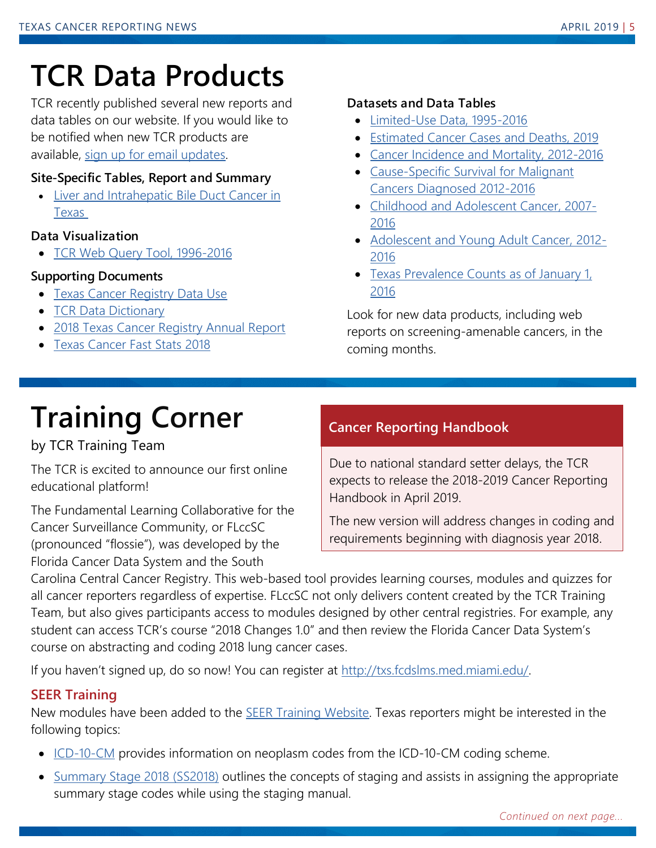# <span id="page-4-1"></span><span id="page-4-0"></span>**TCR Data Products**

TCR recently published several new reports and data tables on our website. If you would like to be notified when new TCR products are available, [sign up for email updates.](https://public.govdelivery.com/accounts/TXHHSC/subscriber/new?topic_id=TXHHSC_272)

#### **Site-Specific Tables, Report and Summary**

• [Liver and Intrahepatic Bile Duct Cancer in](https://www.dshs.texas.gov/tcr/data/cancersite/liver-cancer.aspx)  [Texas](https://www.dshs.texas.gov/tcr/data/cancersite/liver-cancer.aspx)

# **Data Visualization**

• [TCR Web Query Tool, 1996-2016](https://www.cancer-rates.info/tx/)

# **Supporting Documents**

- [Texas Cancer Registry Data Use](https://www.dshs.texas.gov/tcr/publications.aspx)
- [TCR Data Dictionary](https://www.dshs.texas.gov/tcr/data/dictionary.aspx)
- [2018 Texas Cancer Registry Annual Report](https://www.dshs.texas.gov/tcr/publications.aspx)
- [Texas Cancer Fast Stats 2018](https://www.dshs.texas.gov/tcr/data/texas-cancer-fast-stats.aspx)

#### **Datasets and Data Tables**

- [Limited-Use Data, 1995-2016](https://www.dshs.texas.gov/tcr/data/limited-use.aspx)
- [Estimated Cancer Cases and Deaths, 2019](https://www.dshs.texas.gov/tcr/data/expected-cases-and-deaths.aspx)
- [Cancer Incidence and Mortality, 2012-2016](https://www.dshs.texas.gov/tcr/data/incidence-and-mortality.aspx)
- Cause-Specific [Survival for Malignant](https://www.dshs.texas.gov/tcr/data/cause-specific-survival.aspx)  [Cancers Diagnosed 2012-2016](https://www.dshs.texas.gov/tcr/data/cause-specific-survival.aspx)
- [Childhood and Adolescent Cancer, 2007-](https://www.dshs.texas.gov/tcr/data/childhood.aspx) [2016](https://www.dshs.texas.gov/tcr/data/childhood.aspx)
- [Adolescent and Young Adult Cancer, 2012-](https://www.dshs.texas.gov/tcr/data/childhood.aspx) [2016](https://www.dshs.texas.gov/tcr/data/childhood.aspx)
- Texas Prevalence Counts as of January 1, [2016](https://www.dshs.texas.gov/tcr/data/prevalence.aspx)

Look for new data products, including web reports on screening-amenable cancers, in the coming months.

# **Training Corner**

# by TCR Training Team

The TCR is excited to announce our first online educational platform!

The Fundamental Learning Collaborative for the Cancer Surveillance Community, or FLccSC (pronounced "flossie"), was developed by the Florida Cancer Data System and the South

# **Cancer Reporting Handbook**

Due to national standard setter delays, the TCR expects to release the 2018-2019 Cancer Reporting Handbook in April 2019.

The new version will address changes in coding and requirements beginning with diagnosis year 2018.

Carolina Central Cancer Registry. This web-based tool provides learning courses, modules and quizzes for all cancer reporters regardless of expertise. FLccSC not only delivers content created by the TCR Training Team, but also gives participants access to modules designed by other central registries. For example, any student can access TCR's course "2018 Changes 1.0" and then review the Florida Cancer Data System's course on abstracting and coding 2018 lung cancer cases.

If you haven't signed up, do so now! You can register at [http://txs.fcdslms.med.miami.edu/.](http://txs.fcdslms.med.miami.edu/)

# **SEER Training**

New modules have been added to the **SEER Training Website**. Texas reporters might be interested in the following topics:

- [ICD-10-CM](https://training.seer.cancer.gov/icd10cm/) provides information on neoplasm codes from the ICD-10-CM coding scheme.
- [Summary Stage 2018 \(SS2018\)](https://training.seer.cancer.gov/ss2k/) outlines the concepts of staging and assists in assigning the appropriate summary stage codes while using the staging manual.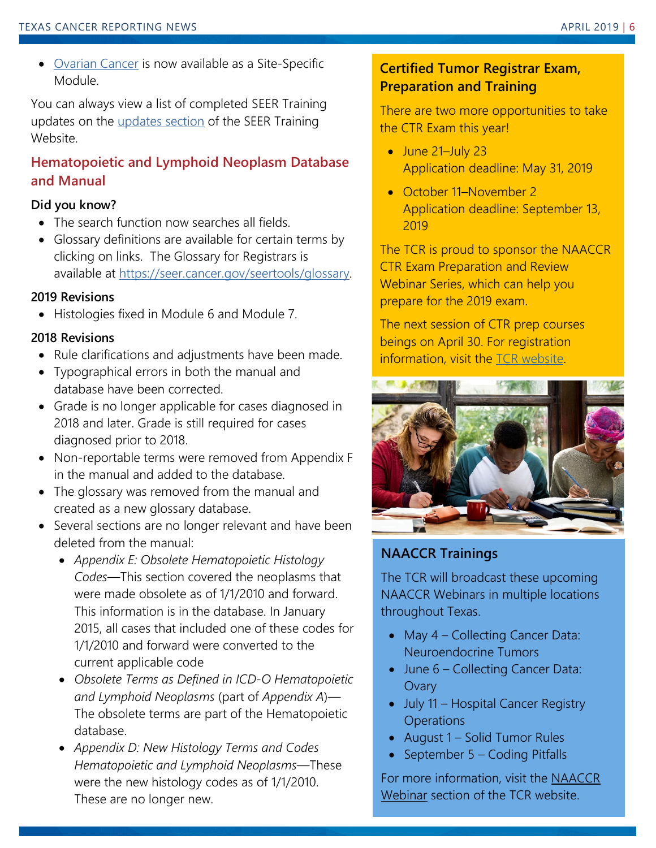• [Ovarian Cancer](https://training.seer.cancer.gov/ovarian/) is now available as a Site-Specific Module.

You can always view a list of completed SEER Training updates on the [updates section](https://training.seer.cancer.gov/modules_update.html) of the SEER Training Website.

# **Hematopoietic and Lymphoid Neoplasm Database and Manual**

# **Did you know?**

- The search function now searches all fields.
- Glossary definitions are available for certain terms by clicking on links. The Glossary for Registrars is available at [https://seer.cancer.gov/seertools/glossary.](https://seer.cancer.gov/seertools/glossary)

#### **2019 Revisions**

• Histologies fixed in Module 6 and Module 7.

#### **2018 Revisions**

- Rule clarifications and adjustments have been made.
- Typographical errors in both the manual and database have been corrected.
- Grade is no longer applicable for cases diagnosed in 2018 and later. Grade is still required for cases diagnosed prior to 2018.
- Non-reportable terms were removed from Appendix F in the manual and added to the database.
- The glossary was removed from the manual and created as a new glossary database.
- Several sections are no longer relevant and have been deleted from the manual:
	- *Appendix E: Obsolete Hematopoietic Histology Codes*—This section covered the neoplasms that were made obsolete as of 1/1/2010 and forward. This information is in the database. In January 2015, all cases that included one of these codes for 1/1/2010 and forward were converted to the current applicable code
	- *Obsolete Terms as Defined in ICD-O Hematopoietic and Lymphoid Neoplasms* (part of *Appendix A*)— The obsolete terms are part of the Hematopoietic database.
	- *Appendix D: New Histology Terms and Codes Hematopoietic and Lymphoid Neoplasms*—These were the new histology codes as of 1/1/2010. These are no longer new.

# **Certified Tumor Registrar Exam, Preparation and Training**

There are two more opportunities to take the CTR Exam this year!

- June 21-July 23 Application deadline: May 31, 2019
- October 11–November 2 Application deadline: September 13, 2019

The TCR is proud to sponsor the NAACCR CTR Exam Preparation and Review Webinar Series, which can help you prepare for the 2019 exam.

The next session of CTR prep courses beings on April 30. For registration information, visit the **TCR** website.



# **NAACCR Trainings**

The TCR will broadcast these upcoming NAACCR Webinars in multiple locations throughout Texas.

- May 4 Collecting Cancer Data: Neuroendocrine Tumors
- June 6 Collecting Cancer Data: **Ovary**
- July 11 Hospital Cancer Registry **Operations**
- August 1 Solid Tumor Rules
- September 5 Coding Pitfalls

For more information, visit the [NAACCR](https://www.dshs.texas.gov/tcr/training/NAACCR-webinars.aspx)  [Webinar](https://www.dshs.texas.gov/tcr/training/NAACCR-webinars.aspx) section of the TCR website.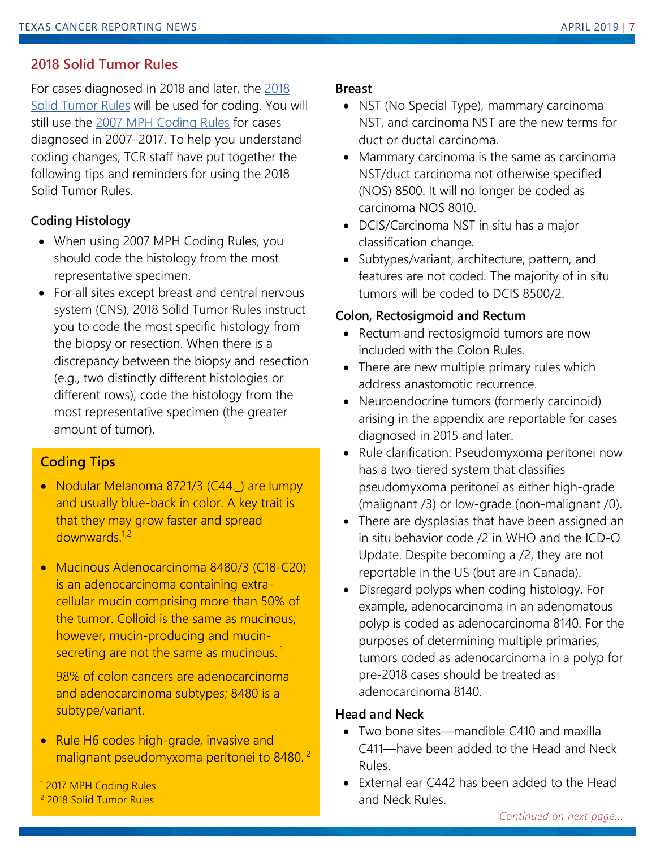# **2018 Solid Tumor Rules**

For cases diagnosed in 2018 and later, the [2018](https://seer.cancer.gov/tools/solidtumor/STM_2018.pdf)  [Solid Tumor Rules](https://seer.cancer.gov/tools/solidtumor/STM_2018.pdf) will be used for coding. You will still use the [2007 MPH Coding Rules](https://seer.cancer.gov/tools/mphrules/2007_mphrules_manual_08242012.pdf) for cases diagnosed in 2007–2017. To help you understand coding changes, TCR staff have put together the following tips and reminders for using the 2018 Solid Tumor Rules.

# **Coding Histology**

- When using 2007 MPH Coding Rules, you should code the histology from the most representative specimen.
- For all sites except breast and central nervous system (CNS), 2018 Solid Tumor Rules instruct you to code the most specific histology from the biopsy or resection. When there is a discrepancy between the biopsy and resection (e.g., two distinctly different histologies or different rows), code the histology from the most representative specimen (the greater amount of tumor).

# **Coding Tips**

- Nodular Melanoma 8721/3 (C44.) are lumpy and usually blue-back in color. A key trait is that they may grow faster and spread downwards.<sup>1,2</sup>
- Mucinous Adenocarcinoma 8480/3 (C18-C20) is an adenocarcinoma containing extracellular mucin comprising more than 50% of the tumor. Colloid is the same as mucinous; however, mucin-producing and mucinsecreting are not the same as mucinous.<sup>1</sup>

98% of colon cancers are adenocarcinoma and adenocarcinoma subtypes; 8480 is a subtype/variant.

• Rule H6 codes high-grade, invasive and malignant pseudomyxoma peritonei to 8480.<sup>2</sup>

<sup>1</sup> 2017 MPH Coding Rules <sup>2</sup> 2018 Solid Tumor Rules

#### **Breast**

- NST (No Special Type), mammary carcinoma NST, and carcinoma NST are the new terms for duct or ductal carcinoma.
- Mammary carcinoma is the same as carcinoma NST/duct carcinoma not otherwise specified (NOS) 8500. It will no longer be coded as carcinoma NOS 8010.
- DCIS/Carcinoma NST in situ has a major classification change.
- Subtypes/variant, architecture, pattern, and features are not coded. The majority of in situ tumors will be coded to DCIS 8500/2.

# **Colon, Rectosigmoid and Rectum**

- Rectum and rectosigmoid tumors are now included with the Colon Rules.
- There are new multiple primary rules which address anastomotic recurrence.
- Neuroendocrine tumors (formerly carcinoid) arising in the appendix are reportable for cases diagnosed in 2015 and later.
- Rule clarification: Pseudomyxoma peritonei now has a two-tiered system that classifies pseudomyxoma peritonei as either high-grade (malignant /3) or low-grade (non-malignant /0).
- There are dysplasias that have been assigned an in situ behavior code /2 in WHO and the ICD-O Update. Despite becoming a /2, they are not reportable in the US (but are in Canada).
- Disregard polyps when coding histology. For example, adenocarcinoma in an adenomatous polyp is coded as adenocarcinoma 8140. For the purposes of determining multiple primaries, tumors coded as adenocarcinoma in a polyp for pre-2018 cases should be treated as adenocarcinoma 8140.

# **Head and Neck**

- Two bone sites—mandible C410 and maxilla C411—have been added to the Head and Neck Rules.
- External ear C442 has been added to the Head and Neck Rules.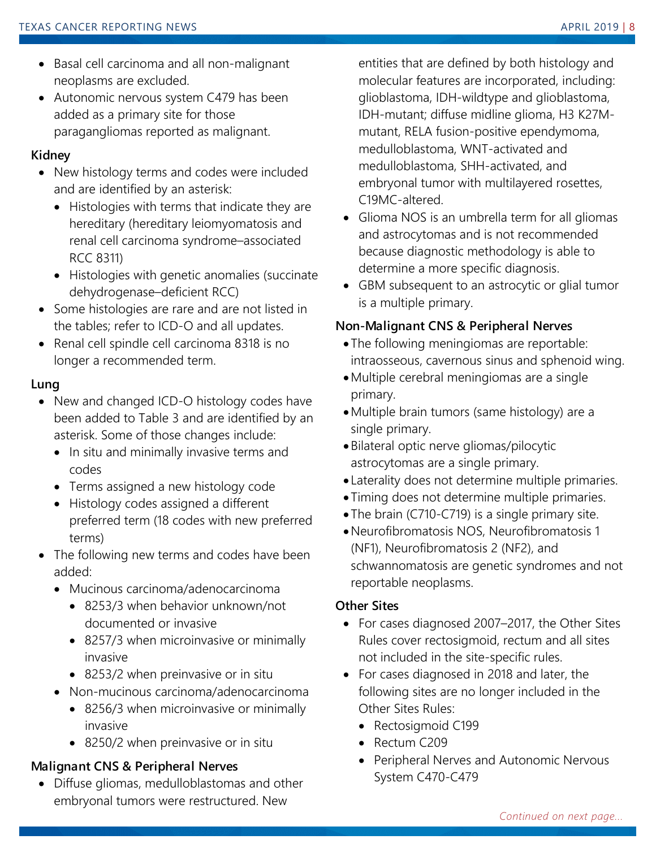- Basal cell carcinoma and all non-malignant neoplasms are excluded.
- Autonomic nervous system C479 has been added as a primary site for those paragangliomas reported as malignant.

#### **Kidney**

- New histology terms and codes were included and are identified by an asterisk:
	- Histologies with terms that indicate they are hereditary (hereditary leiomyomatosis and renal cell carcinoma syndrome–associated RCC 8311)
	- Histologies with genetic anomalies (succinate dehydrogenase–deficient RCC)
- Some histologies are rare and are not listed in the tables; refer to ICD-O and all updates.
- Renal cell spindle cell carcinoma 8318 is no longer a recommended term.

#### **Lung**

- New and changed ICD-O histology codes have been added to Table 3 and are identified by an asterisk. Some of those changes include:
	- In situ and minimally invasive terms and codes
	- Terms assigned a new histology code
	- Histology codes assigned a different preferred term (18 codes with new preferred terms)
- The following new terms and codes have been added:
	- Mucinous carcinoma/adenocarcinoma
		- 8253/3 when behavior unknown/not documented or invasive
		- 8257/3 when microinvasive or minimally invasive
		- 8253/2 when preinvasive or in situ
	- Non-mucinous carcinoma/adenocarcinoma
		- 8256/3 when microinvasive or minimally invasive
		- 8250/2 when preinvasive or in situ

# **Malignant CNS & Peripheral Nerves**

• Diffuse gliomas, medulloblastomas and other embryonal tumors were restructured. New

entities that are defined by both histology and molecular features are incorporated, including: glioblastoma, IDH-wildtype and glioblastoma, IDH-mutant; diffuse midline glioma, H3 K27Mmutant, RELA fusion-positive ependymoma, medulloblastoma, WNT-activated and medulloblastoma, SHH-activated, and embryonal tumor with multilayered rosettes, C19MC-altered.

- Glioma NOS is an umbrella term for all gliomas and astrocytomas and is not recommended because diagnostic methodology is able to determine a more specific diagnosis.
- GBM subsequent to an astrocytic or glial tumor is a multiple primary.

# **Non-Malignant CNS & Peripheral Nerves**

- The following meningiomas are reportable: intraosseous, cavernous sinus and sphenoid wing.
- •Multiple cerebral meningiomas are a single primary.
- •Multiple brain tumors (same histology) are a single primary.
- Bilateral optic nerve gliomas/pilocytic astrocytomas are a single primary.
- Laterality does not determine multiple primaries.
- Timing does not determine multiple primaries.
- The brain (C710-C719) is a single primary site.
- •Neurofibromatosis NOS, Neurofibromatosis 1 (NF1), Neurofibromatosis 2 (NF2), and schwannomatosis are genetic syndromes and not reportable neoplasms.

# **Other Sites**

- For cases diagnosed 2007–2017, the Other Sites Rules cover rectosigmoid, rectum and all sites not included in the site-specific rules.
- For cases diagnosed in 2018 and later, the following sites are no longer included in the Other Sites Rules:
	- Rectosigmoid C199
	- Rectum C209
	- Peripheral Nerves and Autonomic Nervous System C470-C479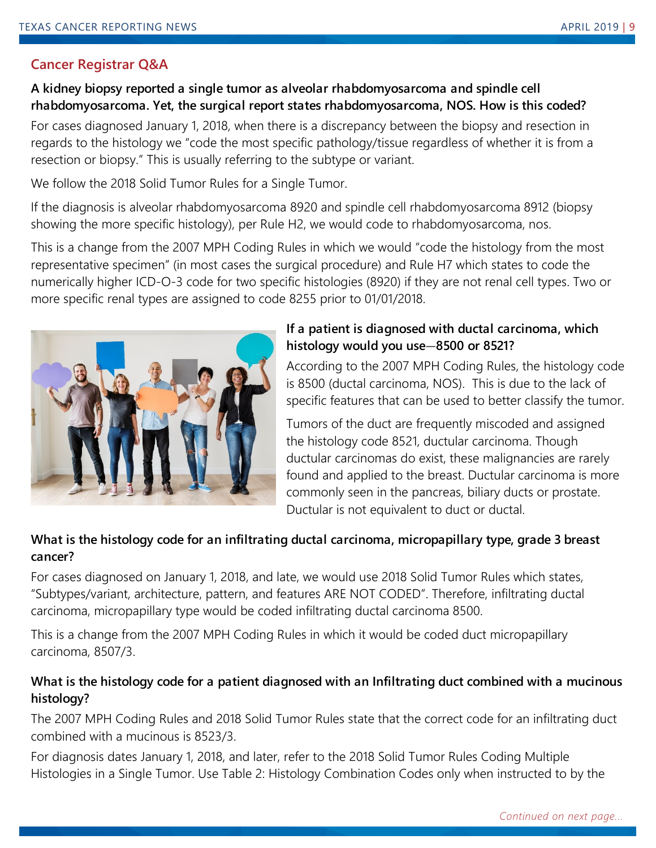# **Cancer Registrar Q&A**

# **A kidney biopsy reported a single tumor as alveolar rhabdomyosarcoma and spindle cell rhabdomyosarcoma. Yet, the surgical report states rhabdomyosarcoma, NOS. How is this coded?**

For cases diagnosed January 1, 2018, when there is a discrepancy between the biopsy and resection in regards to the histology we "code the most specific pathology/tissue regardless of whether it is from a resection or biopsy." This is usually referring to the subtype or variant.

We follow the 2018 Solid Tumor Rules for a Single Tumor.

If the diagnosis is alveolar rhabdomyosarcoma 8920 and spindle cell rhabdomyosarcoma 8912 (biopsy showing the more specific histology), per Rule H2, we would code to rhabdomyosarcoma, nos.

This is a change from the 2007 MPH Coding Rules in which we would "code the histology from the most representative specimen" (in most cases the surgical procedure) and Rule H7 which states to code the numerically higher ICD-O-3 code for two specific histologies (8920) if they are not renal cell types. Two or more specific renal types are assigned to code 8255 prior to 01/01/2018.



# **If a patient is diagnosed with ductal carcinoma, which histology would you use***—***8500 or 8521?**

According to the 2007 MPH Coding Rules, the histology code is 8500 (ductal carcinoma, NOS). This is due to the lack of specific features that can be used to better classify the tumor.

Tumors of the duct are frequently miscoded and assigned the histology code 8521, ductular carcinoma. Though ductular carcinomas do exist, these malignancies are rarely found and applied to the breast. Ductular carcinoma is more commonly seen in the pancreas, biliary ducts or prostate. Ductular is not equivalent to duct or ductal.

# **What is the histology code for an infiltrating ductal carcinoma, micropapillary type, grade 3 breast cancer?**

For cases diagnosed on January 1, 2018, and late, we would use 2018 Solid Tumor Rules which states, "Subtypes/variant, architecture, pattern, and features ARE NOT CODED". Therefore, infiltrating ductal carcinoma, micropapillary type would be coded infiltrating ductal carcinoma 8500.

This is a change from the 2007 MPH Coding Rules in which it would be coded duct micropapillary carcinoma, 8507/3.

# **What is the histology code for a patient diagnosed with an Infiltrating duct combined with a mucinous histology?**

The 2007 MPH Coding Rules and 2018 Solid Tumor Rules state that the correct code for an infiltrating duct combined with a mucinous is 8523/3.

For diagnosis dates January 1, 2018, and later, refer to the 2018 Solid Tumor Rules Coding Multiple Histologies in a Single Tumor. Use Table 2: Histology Combination Codes only when instructed to by the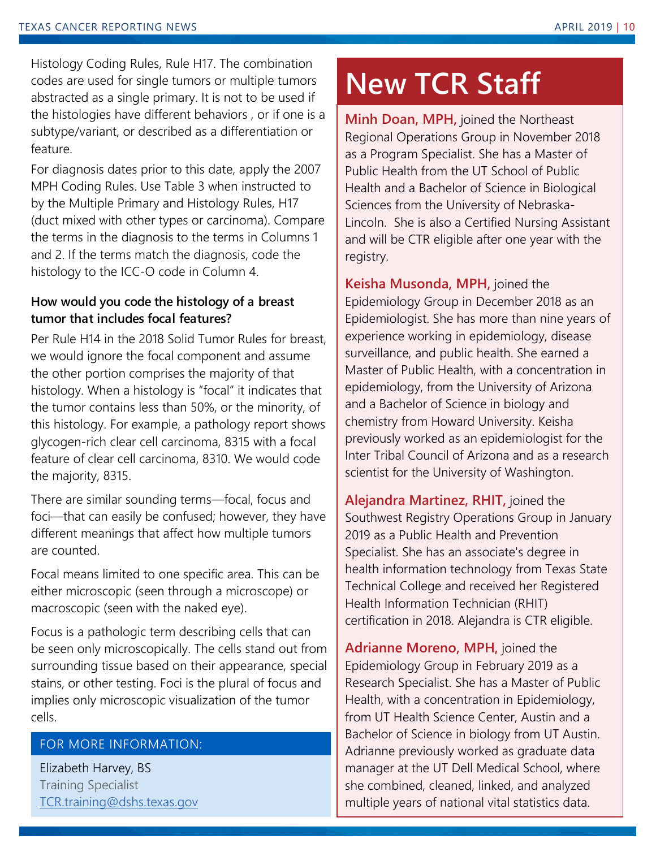Histology Coding Rules, Rule H17. The combination codes are used for single tumors or multiple tumors abstracted as a single primary. It is not to be used if the histologies have different behaviors , or if one is a subtype/variant, or described as a differentiation or feature.

For diagnosis dates prior to this date, apply the 2007 MPH Coding Rules. Use Table 3 when instructed to by the Multiple Primary and Histology Rules, H17 (duct mixed with other types or carcinoma). Compare the terms in the diagnosis to the terms in Columns 1 and 2. If the terms match the diagnosis, code the histology to the ICC-O code in Column 4.

# **How would you code the histology of a breast tumor that includes focal features?**

Per Rule H14 in the 2018 Solid Tumor Rules for breast, we would ignore the focal component and assume the other portion comprises the majority of that histology. When a histology is "focal" it indicates that the tumor contains less than 50%, or the minority, of this histology. For example, a pathology report shows glycogen-rich clear cell carcinoma, 8315 with a focal feature of clear cell carcinoma, 8310. We would code the majority, 8315.

There are similar sounding terms—focal, focus and foci—that can easily be confused; however, they have different meanings that affect how multiple tumors are counted.

Focal means limited to one specific area. This can be either microscopic (seen through a microscope) or macroscopic (seen with the naked eye).

Focus is a pathologic term describing cells that can be seen only microscopically. The cells stand out from surrounding tissue based on their appearance, special stains, or other testing. Foci is the plural of focus and implies only microscopic visualization of the tumor cells.

# FOR MORE INFORMATION:

Elizabeth Harvey, BS Training Specialist [TCR.training@dshs.texas.gov](mailto:TCR.training@dshs.texas.gov?subject=TCR%20Newsletter%20-%20Training%20Corner)

# **New TCR Staff**

**Minh Doan, MPH,** joined the Northeast Regional Operations Group in November 2018 as a Program Specialist. She has a Master of Public Health from the UT School of Public Health and a Bachelor of Science in Biological Sciences from the University of Nebraska-Lincoln. She is also a Certified Nursing Assistant and will be CTR eligible after one year with the registry.

**Keisha Musonda, MPH,** joined the Epidemiology Group in December 2018 as an Epidemiologist. She has more than nine years of experience working in epidemiology, disease surveillance, and public health. She earned a Master of Public Health, with a concentration in epidemiology, from the University of Arizona and a Bachelor of Science in biology and chemistry from Howard University. Keisha previously worked as an epidemiologist for the Inter Tribal Council of Arizona and as a research scientist for the University of Washington.

**Alejandra Martinez, RHIT,** joined the Southwest Registry Operations Group in January 2019 as a Public Health and Prevention Specialist. She has an associate's degree in health information technology from Texas State Technical College and received her Registered Health Information Technician (RHIT) certification in 2018. Alejandra is CTR eligible.

**Adrianne Moreno, MPH,** joined the Epidemiology Group in February 2019 as a Research Specialist. She has a Master of Public Health, with a concentration in Epidemiology, from UT Health Science Center, Austin and a Bachelor of Science in biology from UT Austin. Adrianne previously worked as graduate data manager at the UT Dell Medical School, where she combined, cleaned, linked, and analyzed multiple years of national vital statistics data.